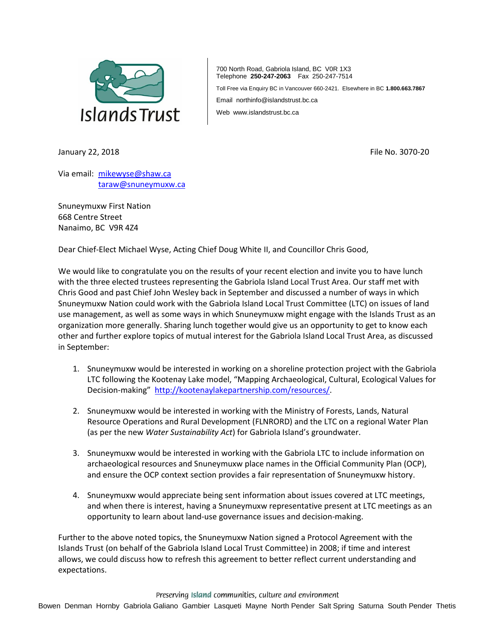

700 North Road, Gabriola Island, BC V0R 1X3 Telephone **250-247-2063** Fax 250-247-7514

Toll Free via Enquiry BC in Vancouver 660-2421. Elsewhere in BC **1.800.663.7867**

Email northinfo@islandstrust.bc.ca

Web www.islandstrust.bc.ca

January 22, 2018 **File No. 3070-20** File No. 3070-20

Via email: [mikewyse@shaw.ca](mailto:mikewyse@shaw.ca) [taraw@snuneymuxw.ca](mailto:taraw@snuneymuxw.ca)

Snuneymuxw First Nation 668 Centre Street Nanaimo, BC V9R 4Z4

Dear Chief-Elect Michael Wyse, Acting Chief Doug White II, and Councillor Chris Good,

We would like to congratulate you on the results of your recent election and invite you to have lunch with the three elected trustees representing the Gabriola Island Local Trust Area. Our staff met with Chris Good and past Chief John Wesley back in September and discussed a number of ways in which Snuneymuxw Nation could work with the Gabriola Island Local Trust Committee (LTC) on issues of land use management, as well as some ways in which Snuneymuxw might engage with the Islands Trust as an organization more generally. Sharing lunch together would give us an opportunity to get to know each other and further explore topics of mutual interest for the Gabriola Island Local Trust Area, as discussed in September:

- 1. Snuneymuxw would be interested in working on a shoreline protection project with the Gabriola LTC following the Kootenay Lake model, "Mapping Archaeological, Cultural, Ecological Values for Decision-making" [http://kootenaylakepartnership.com/resources/.](http://kootenaylakepartnership.com/resources/)
- 2. Snuneymuxw would be interested in working with the Ministry of Forests, Lands, Natural Resource Operations and Rural Development (FLNRORD) and the LTC on a regional Water Plan (as per the new *Water Sustainability Act*) for Gabriola Island's groundwater.
- 3. Snuneymuxw would be interested in working with the Gabriola LTC to include information on archaeological resources and Snuneymuxw place names in the Official Community Plan (OCP), and ensure the OCP context section provides a fair representation of Snuneymuxw history.
- 4. Snuneymuxw would appreciate being sent information about issues covered at LTC meetings, and when there is interest, having a Snuneymuxw representative present at LTC meetings as an opportunity to learn about land-use governance issues and decision-making.

Further to the above noted topics, the Snuneymuxw Nation signed a Protocol Agreement with the Islands Trust (on behalf of the Gabriola Island Local Trust Committee) in 2008; if time and interest allows, we could discuss how to refresh this agreement to better reflect current understanding and expectations.

Preserving Island communities, culture and environment